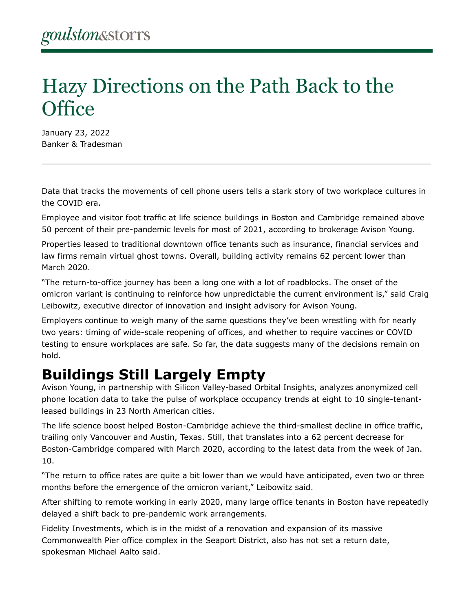## Hazy Directions on the Path Back to the **Office**

January 23, 2022 Banker & Tradesman

Data that tracks the movements of cell phone users tells a stark story of two workplace cultures in the COVID era.

Employee and visitor foot traffic at life science buildings in Boston and Cambridge remained above 50 percent of their pre-pandemic levels for most of 2021, according to brokerage Avison Young.

Properties leased to traditional downtown office tenants such as insurance, financial services and law firms remain virtual ghost towns. Overall, building activity remains 62 percent lower than March 2020.

"The return-to-office journey has been a long one with a lot of roadblocks. The onset of the omicron variant is continuing to reinforce how unpredictable the current environment is," said Craig Leibowitz, executive director of innovation and insight advisory for Avison Young.

Employers continue to weigh many of the same questions they've been wrestling with for nearly two years: timing of wide-scale reopening of offices, and whether to require vaccines or COVID testing to ensure workplaces are safe. So far, the data suggests many of the decisions remain on hold.

## **Buildings Still Largely Empty**

Avison Young, in partnership with Silicon Valley-based Orbital Insights, analyzes anonymized cell phone location data to take the pulse of workplace occupancy trends at eight to 10 single-tenantleased buildings in 23 North American cities.

The life science boost helped Boston-Cambridge achieve the third-smallest decline in office traffic, trailing only Vancouver and Austin, Texas. Still, that translates into a 62 percent decrease for Boston-Cambridge compared with March 2020, according to the latest data from the week of Jan. 10.

"The return to office rates are quite a bit lower than we would have anticipated, even two or three months before the emergence of the omicron variant," Leibowitz said.

After shifting to remote working in early 2020, many large office tenants in Boston have repeatedly delayed a shift back to pre-pandemic work arrangements.

Fidelity Investments, which is in the midst of a renovation and expansion of its massive Commonwealth Pier office complex in the Seaport District, also has not set a return date, spokesman Michael Aalto said.